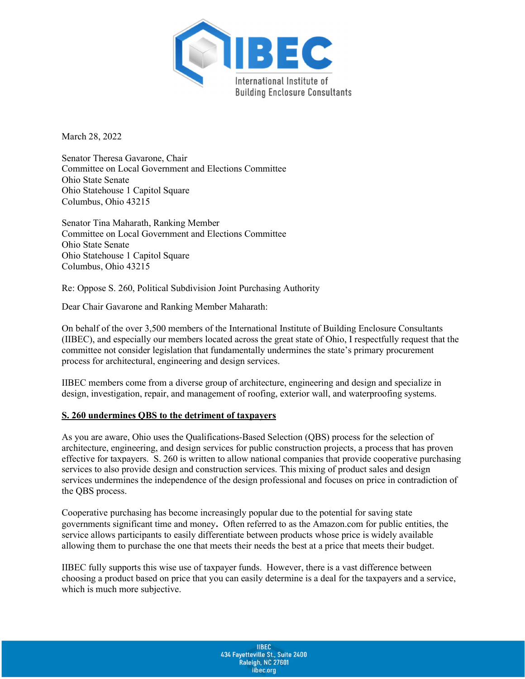

March 28, 2022

Senator Theresa Gavarone, Chair Committee on Local Government and Elections Committee Ohio State Senate Ohio Statehouse 1 Capitol Square Columbus, Ohio 43215

Senator Tina Maharath, Ranking Member Committee on Local Government and Elections Committee Ohio State Senate Ohio Statehouse 1 Capitol Square Columbus, Ohio 43215

Re: Oppose S. 260, Political Subdivision Joint Purchasing Authority

Dear Chair Gavarone and Ranking Member Maharath:

On behalf of the over 3,500 members of the International Institute of Building Enclosure Consultants (IIBEC), and especially our members located across the great state of Ohio, I respectfully request that the committee not consider legislation that fundamentally undermines the state's primary procurement process for architectural, engineering and design services.

IIBEC members come from a diverse group of architecture, engineering and design and specialize in design, investigation, repair, and management of roofing, exterior wall, and waterproofing systems.

## S. 260 undermines QBS to the detriment of taxpayers

As you are aware, Ohio uses the Qualifications-Based Selection (QBS) process for the selection of architecture, engineering, and design services for public construction projects, a process that has proven effective for taxpayers. S. 260 is written to allow national companies that provide cooperative purchasing services to also provide design and construction services. This mixing of product sales and design services undermines the independence of the design professional and focuses on price in contradiction of the QBS process.

Cooperative purchasing has become increasingly popular due to the potential for saving state governments significant time and money. Often referred to as the Amazon.com for public entities, the service allows participants to easily differentiate between products whose price is widely available allowing them to purchase the one that meets their needs the best at a price that meets their budget.

IIBEC fully supports this wise use of taxpayer funds. However, there is a vast difference between choosing a product based on price that you can easily determine is a deal for the taxpayers and a service, which is much more subjective.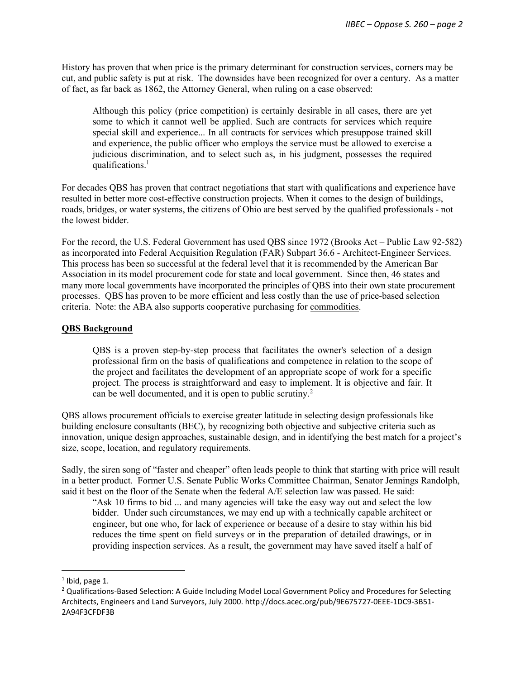History has proven that when price is the primary determinant for construction services, corners may be cut, and public safety is put at risk. The downsides have been recognized for over a century. As a matter of fact, as far back as 1862, the Attorney General, when ruling on a case observed:

Although this policy (price competition) is certainly desirable in all cases, there are yet some to which it cannot well be applied. Such are contracts for services which require special skill and experience... In all contracts for services which presuppose trained skill and experience, the public officer who employs the service must be allowed to exercise a judicious discrimination, and to select such as, in his judgment, possesses the required qualifications.<sup>1</sup>

For decades QBS has proven that contract negotiations that start with qualifications and experience have resulted in better more cost-effective construction projects. When it comes to the design of buildings, roads, bridges, or water systems, the citizens of Ohio are best served by the qualified professionals - not the lowest bidder.

For the record, the U.S. Federal Government has used QBS since 1972 (Brooks Act – Public Law 92-582) as incorporated into Federal Acquisition Regulation (FAR) Subpart 36.6 - Architect-Engineer Services. This process has been so successful at the federal level that it is recommended by the American Bar Association in its model procurement code for state and local government. Since then, 46 states and many more local governments have incorporated the principles of QBS into their own state procurement processes. QBS has proven to be more efficient and less costly than the use of price-based selection criteria. Note: the ABA also supports cooperative purchasing for commodities.

## QBS Background

QBS is a proven step-by-step process that facilitates the owner's selection of a design professional firm on the basis of qualifications and competence in relation to the scope of the project and facilitates the development of an appropriate scope of work for a specific project. The process is straightforward and easy to implement. It is objective and fair. It can be well documented, and it is open to public scrutiny.<sup>2</sup>

QBS allows procurement officials to exercise greater latitude in selecting design professionals like building enclosure consultants (BEC), by recognizing both objective and subjective criteria such as innovation, unique design approaches, sustainable design, and in identifying the best match for a project's size, scope, location, and regulatory requirements.

Sadly, the siren song of "faster and cheaper" often leads people to think that starting with price will result in a better product. Former U.S. Senate Public Works Committee Chairman, Senator Jennings Randolph, said it best on the floor of the Senate when the federal A/E selection law was passed. He said:

"Ask 10 firms to bid ... and many agencies will take the easy way out and select the low bidder. Under such circumstances, we may end up with a technically capable architect or engineer, but one who, for lack of experience or because of a desire to stay within his bid reduces the time spent on field surveys or in the preparation of detailed drawings, or in providing inspection services. As a result, the government may have saved itself a half of

 $<sup>1</sup>$  Ibid, page 1.</sup>

<sup>&</sup>lt;sup>2</sup> Qualifications-Based Selection: A Guide Including Model Local Government Policy and Procedures for Selecting Architects, Engineers and Land Surveyors, July 2000. http://docs.acec.org/pub/9E675727-0EEE-1DC9-3B51- 2A94F3CFDF3B